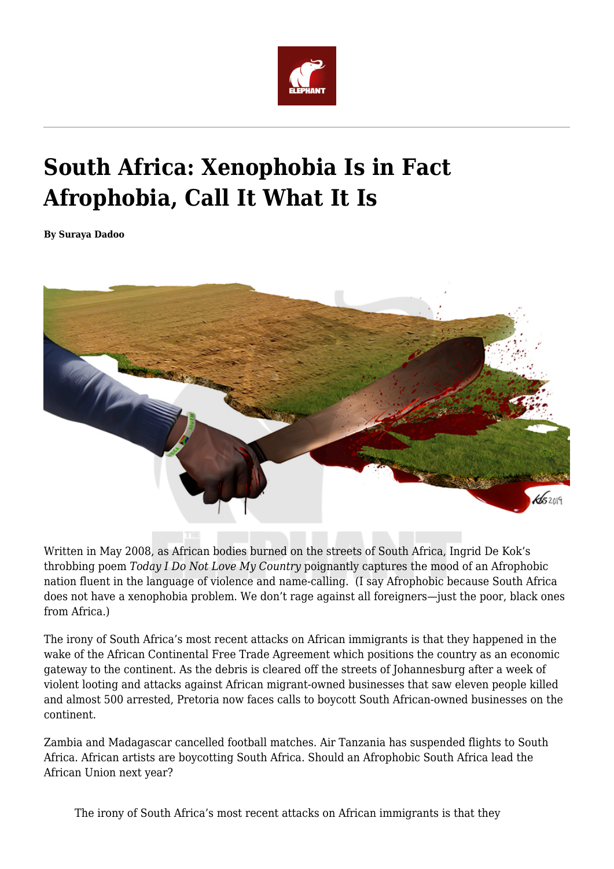

## **South Africa: Xenophobia Is in Fact Afrophobia, Call It What It Is**

**By Suraya Dadoo**



Written in May 2008, as African bodies burned on the streets of South Africa, Ingrid De Kok's throbbing poem *Today I Do Not Love My Country* poignantly captures the mood of an Afrophobic nation fluent in the language of violence and name-calling. (I say Afrophobic because South Africa does not have a xenophobia problem. We don't rage against all foreigners—just the poor, black ones from Africa.)

The irony of South Africa's most recent attacks on African immigrants is that they happened in the wake of the African Continental Free Trade Agreement which positions the country as an economic gateway to the continent. As the debris is cleared off the streets of Johannesburg after a week of violent looting and attacks against African migrant-owned businesses that saw eleven people killed and almost 500 arrested, Pretoria now faces calls to boycott South African-owned businesses on the continent.

Zambia and Madagascar cancelled football matches. Air Tanzania has suspended flights to South Africa. African artists are boycotting South Africa. Should an Afrophobic South Africa lead the African Union next year?

The irony of South Africa's most recent attacks on African immigrants is that they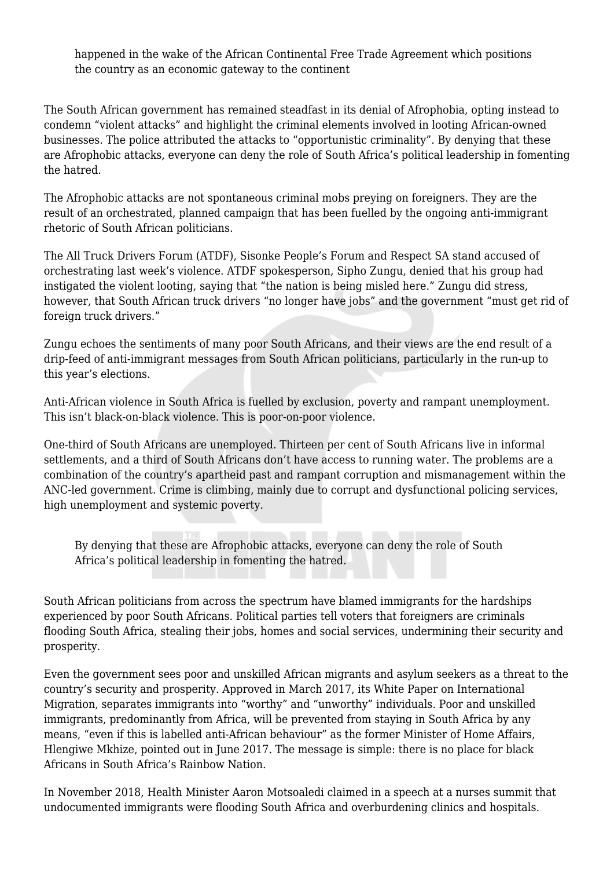happened in the wake of the African Continental Free Trade Agreement which positions the country as an economic gateway to the continent

The South African government has remained steadfast in its denial of Afrophobia, opting instead to condemn "violent attacks" and highlight the criminal elements involved in looting African-owned businesses. The police attributed the attacks to "opportunistic criminality". By denying that these are Afrophobic attacks, everyone can deny the role of South Africa's political leadership in fomenting the hatred.

The Afrophobic attacks are not spontaneous criminal mobs preying on foreigners. They are the result of an orchestrated, planned campaign that has been fuelled by the ongoing anti-immigrant rhetoric of South African politicians.

The All Truck Drivers Forum (ATDF), Sisonke People's Forum and Respect SA stand accused of orchestrating last week's violence. ATDF spokesperson, Sipho Zungu, denied that his group had instigated the violent looting, saying that "the nation is being misled here." Zungu did stress, however, that South African truck drivers "no longer have jobs" and the government "must get rid of foreign truck drivers."

Zungu echoes the sentiments of many poor South Africans, and their views are the end result of a drip-feed of anti-immigrant messages from South African politicians, particularly in the run-up to this year's elections.

Anti-African violence in South Africa is fuelled by exclusion, poverty and rampant unemployment. This isn't black-on-black violence. This is poor-on-poor violence.

One-third of South Africans are unemployed. Thirteen per cent of South Africans live in informal settlements, and a third of South Africans don't have access to running water. The problems are a combination of the country's apartheid past and rampant corruption and mismanagement within the ANC-led government. Crime is climbing, mainly due to corrupt and dysfunctional policing services, high unemployment and systemic poverty.

By denying that these are Afrophobic attacks, everyone can deny the role of South Africa's political leadership in fomenting the hatred.

South African politicians from across the spectrum have blamed immigrants for the hardships experienced by poor South Africans. Political parties tell voters that foreigners are criminals flooding South Africa, stealing their jobs, homes and social services, undermining their security and prosperity.

Even the government sees poor and unskilled African migrants and asylum seekers as a threat to the country's security and prosperity. Approved in March 2017, its White Paper on International Migration, separates immigrants into "worthy" and "unworthy" individuals. Poor and unskilled immigrants, predominantly from Africa, will be prevented from staying in South Africa by any means, "even if this is labelled anti-African behaviour" as the former Minister of Home Affairs, Hlengiwe Mkhize, pointed out in June 2017. The message is simple: there is no place for black Africans in South Africa's Rainbow Nation.

In November 2018, Health Minister Aaron Motsoaledi claimed in a speech at a nurses summit that undocumented immigrants were flooding South Africa and overburdening clinics and hospitals.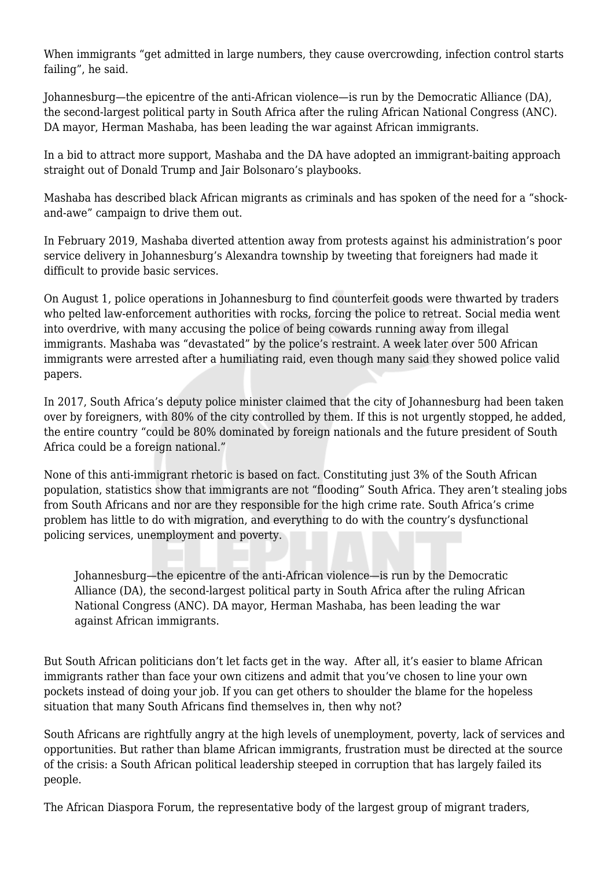When immigrants "get admitted in large numbers, they cause overcrowding, infection control starts failing", he said.

Johannesburg—the epicentre of the anti-African violence—is run by the Democratic Alliance (DA), the second-largest political party in South Africa after the ruling African National Congress (ANC). DA mayor, Herman Mashaba, has been leading the war against African immigrants.

In a bid to attract more support, Mashaba and the DA have adopted an immigrant-baiting approach straight out of Donald Trump and Jair Bolsonaro's playbooks.

Mashaba has described black African migrants as criminals and has spoken of the need for a "shockand-awe" campaign to drive them out.

In February 2019, Mashaba diverted attention away from protests against his administration's poor service delivery in Johannesburg's Alexandra township by tweeting that foreigners had made it difficult to provide basic services.

On August 1, police operations in Johannesburg to find counterfeit goods were thwarted by traders who pelted law-enforcement authorities with rocks, forcing the police to retreat. Social media went into overdrive, with many accusing the police of being cowards running away from illegal immigrants. Mashaba was "devastated" by the police's restraint. A week later over 500 African immigrants were arrested after a humiliating raid, even though many said they showed police valid papers.

In 2017, South Africa's deputy police minister claimed that the city of Johannesburg had been taken over by foreigners, with 80% of the city controlled by them. If this is not urgently stopped, he added, the entire country "could be 80% dominated by foreign nationals and the future president of South Africa could be a foreign national."

None of this anti-immigrant rhetoric is based on fact. Constituting just 3% of the South African population, statistics show that immigrants are not "flooding" South Africa. They aren't stealing jobs from South Africans and nor are they responsible for the high crime rate. South Africa's crime problem has little to do with migration, and everything to do with the country's dysfunctional policing services, unemployment and poverty.

Johannesburg—the epicentre of the anti-African violence—is run by the Democratic Alliance (DA), the second-largest political party in South Africa after the ruling African National Congress (ANC). DA mayor, Herman Mashaba, has been leading the war against African immigrants.

But South African politicians don't let facts get in the way. After all, it's easier to blame African immigrants rather than face your own citizens and admit that you've chosen to line your own pockets instead of doing your job. If you can get others to shoulder the blame for the hopeless situation that many South Africans find themselves in, then why not?

South Africans are rightfully angry at the high levels of unemployment, poverty, lack of services and opportunities. But rather than blame African immigrants, frustration must be directed at the source of the crisis: a South African political leadership steeped in corruption that has largely failed its people.

The African Diaspora Forum, the representative body of the largest group of migrant traders,